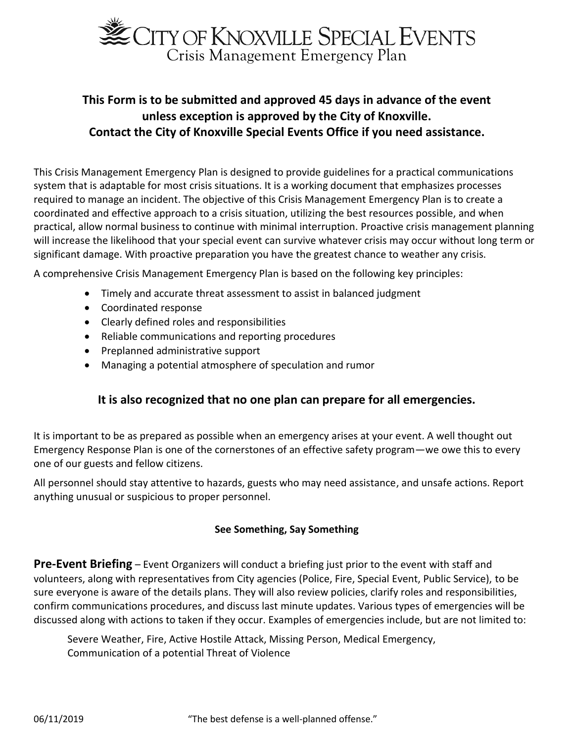

# **This Form is to be submitted and approved 45 days in advance of the event unless exception is approved by the City of Knoxville. Contact the City of Knoxville Special Events Office if you need assistance.**

This Crisis Management Emergency Plan is designed to provide guidelines for a practical communications system that is adaptable for most crisis situations. It is a working document that emphasizes processes required to manage an incident. The objective of this Crisis Management Emergency Plan is to create a coordinated and effective approach to a crisis situation, utilizing the best resources possible, and when practical, allow normal business to continue with minimal interruption. Proactive crisis management planning will increase the likelihood that your special event can survive whatever crisis may occur without long term or significant damage. With proactive preparation you have the greatest chance to weather any crisis.

A comprehensive Crisis Management Emergency Plan is based on the following key principles:

- Timely and accurate threat assessment to assist in balanced judgment
- Coordinated response
- Clearly defined roles and responsibilities
- Reliable communications and reporting procedures
- Preplanned administrative support
- Managing a potential atmosphere of speculation and rumor

### **It is also recognized that no one plan can prepare for all emergencies.**

It is important to be as prepared as possible when an emergency arises at your event. A well thought out Emergency Response Plan is one of the cornerstones of an effective safety program—we owe this to every one of our guests and fellow citizens.

All personnel should stay attentive to hazards, guests who may need assistance, and unsafe actions. Report anything unusual or suspicious to proper personnel.

#### **See Something, Say Something**

**Pre-Event Briefing** – Event Organizers will conduct a briefing just prior to the event with staff and volunteers, along with representatives from City agencies (Police, Fire, Special Event, Public Service), to be sure everyone is aware of the details plans. They will also review policies, clarify roles and responsibilities, confirm communications procedures, and discuss last minute updates. Various types of emergencies will be discussed along with actions to taken if they occur. Examples of emergencies include, but are not limited to:

Severe Weather, Fire, Active Hostile Attack, Missing Person, Medical Emergency, Communication of a potential Threat of Violence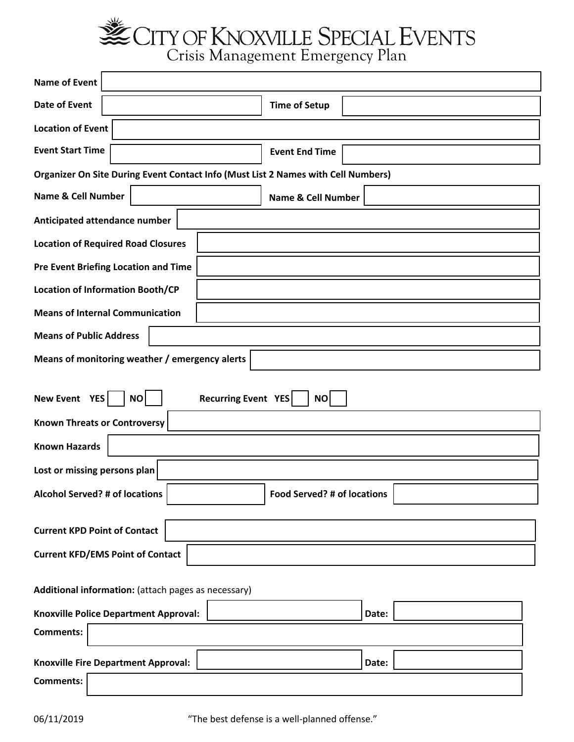CITY OF KNOXVILLE SPECIAL EVENTS<br>Crisis Management Emergency Plan

**Name of Event Date of Event Time of Setup Location of Event Event Start Time | New York Contract Property Contract Property Event End Time | Organizer On Site During Event Contact Info (Must List 2 Names with Cell Numbers) Name & Cell Number**  $\vert$  **Name & Cell Number Anticipated attendance number Location of Required Road Closures Pre Event Briefing Location and Time Location of Information Booth/CP Means of Internal Communication Means of Public Address Means of monitoring weather / emergency alerts New Event YES** | **NO** | **Recurring Event YES** | **NO Known Threats or Controversy Known Hazards Lost or missing persons plan Alcohol Served? # of locations Food Served? # of locations Current KPD Point of Contact Current KFD/EMS Point of Contact Additional information:** (attach pages as necessary) **Knoxville Police Department Approval:**  $\vert$  **Letter and Letter and Approval:**  $\vert$  **Date:**  $\vert$  **Date:**  $\vert$ **Comments: Knoxville Fire Department Approval: | We are not approvalent approvalent approvalent approvalent approvalent approvalent approvalent approvalent approvalent approvalent approvalent approvalent approvalent approvalent appr**